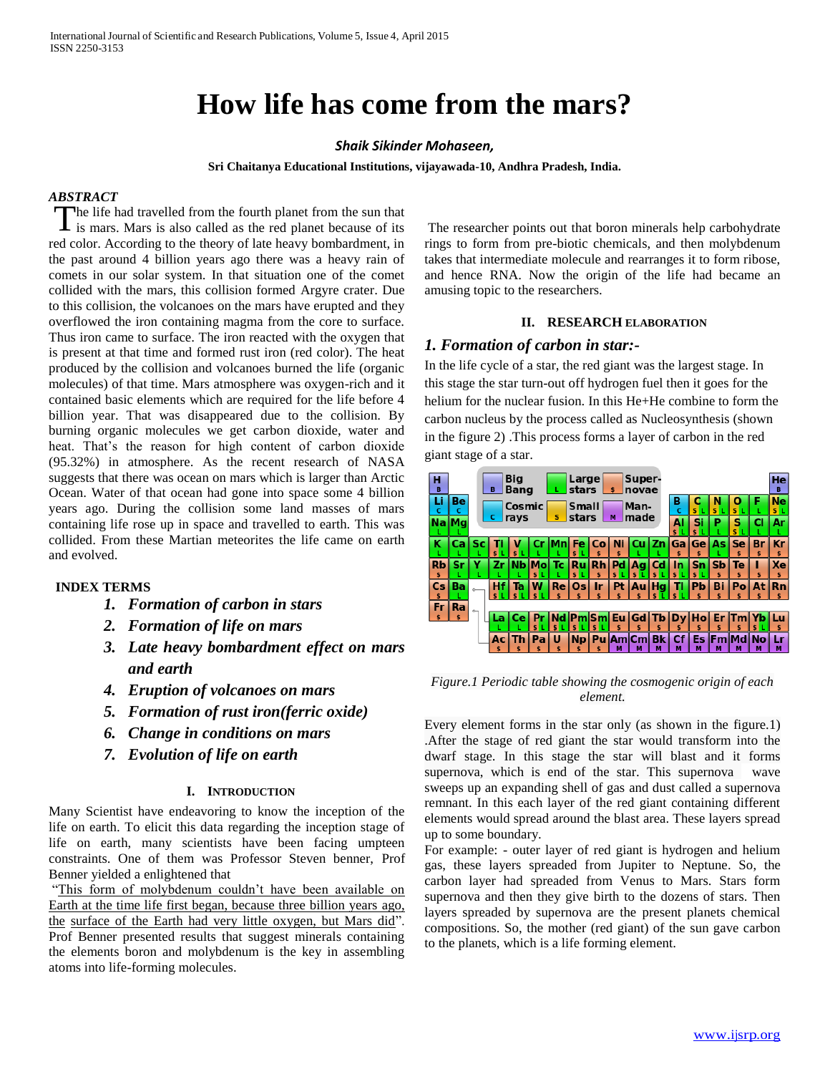# **How life has come from the mars?**

#### *Shaik Sikinder Mohaseen,*

**Sri Chaitanya Educational Institutions, vijayawada-10, Andhra Pradesh, India.**

## *ABSTRACT*

The life had travelled from the fourth planet from the sun that is mars. Mars is also called as the red planet because of its is mars. Mars is also called as the red planet because of its red color. According to the theory of late heavy bombardment, in the past around 4 billion years ago there was a heavy rain of comets in our solar system. In that situation one of the comet collided with the mars, this collision formed Argyre crater. Due to this collision, the volcanoes on the mars have erupted and they overflowed the iron containing magma from the core to surface. Thus iron came to surface. The iron reacted with the oxygen that is present at that time and formed rust iron (red color). The heat produced by the collision and volcanoes burned the life (organic molecules) of that time. Mars atmosphere was oxygen-rich and it contained basic elements which are required for the life before 4 billion year. That was disappeared due to the collision. By burning organic molecules we get carbon dioxide, water and heat. That's the reason for high content of carbon dioxide (95.32%) in atmosphere. As the recent research of NASA suggests that there was ocean on mars which is larger than Arctic Ocean. Water of that ocean had gone into space some 4 billion years ago. During the collision some land masses of mars containing life rose up in space and travelled to earth. This was collided. From these Martian meteorites the life came on earth and evolved.

#### **INDEX TERMS**

- *1. Formation of carbon in stars*
- *2. Formation of life on mars*
- *3. Late heavy bombardment effect on mars and earth*
- *4. Eruption of volcanoes on mars*
- *5. Formation of rust iron(ferric oxide)*
- *6. Change in conditions on mars*
- *7. Evolution of life on earth*

## **I. INTRODUCTION**

Many Scientist have endeavoring to know the inception of the life on earth. To elicit this data regarding the inception stage of life on earth, many scientists have been facing umpteen constraints. One of them was Professor Steven benner, Prof Benner yielded a enlightened that

"This form of molybdenum couldn't have been available on Earth at the time life first began, because three billion years ago, the surface of the Earth had very little oxygen, but Mars did". Prof Benner presented results that suggest minerals containing the elements boron and molybdenum is the key in assembling atoms into life-forming molecules.

The researcher points out that boron minerals help carbohydrate rings to form from pre-biotic chemicals, and then molybdenum takes that intermediate molecule and rearranges it to form ribose, and hence RNA. Now the origin of the life had became an amusing topic to the researchers.

#### **II. RESEARCH ELABORATION**

## *1. Formation of carbon in star:-*

In the life cycle of a star, the red giant was the largest stage. In this stage the star turn-out off hydrogen fuel then it goes for the helium for the nuclear fusion. In this He+He combine to form the carbon nucleus by the process called as Nucleosynthesis (shown in the figure 2) .This process forms a layer of carbon in the red giant stage of a star.



#### *Figure.1 Periodic table showing the cosmogenic origin of each element.*

Every element forms in the star only (as shown in the figure.1) .After the stage of red giant the star would transform into the dwarf stage. In this stage the star will blast and it forms supernova, which is end of the star. This supernova wave sweeps up an expanding shell of gas and dust called a supernova remnant. In this each layer of the red giant containing different elements would spread around the blast area. These layers spread up to some boundary.

For example: - outer layer of red giant is hydrogen and helium gas, these layers spreaded from Jupiter to Neptune. So, the carbon layer had spreaded from Venus to Mars. Stars form supernova and then they give birth to the dozens of stars. Then layers spreaded by supernova are the present planets chemical compositions. So, the mother (red giant) of the sun gave carbon to the planets, which is a life forming element.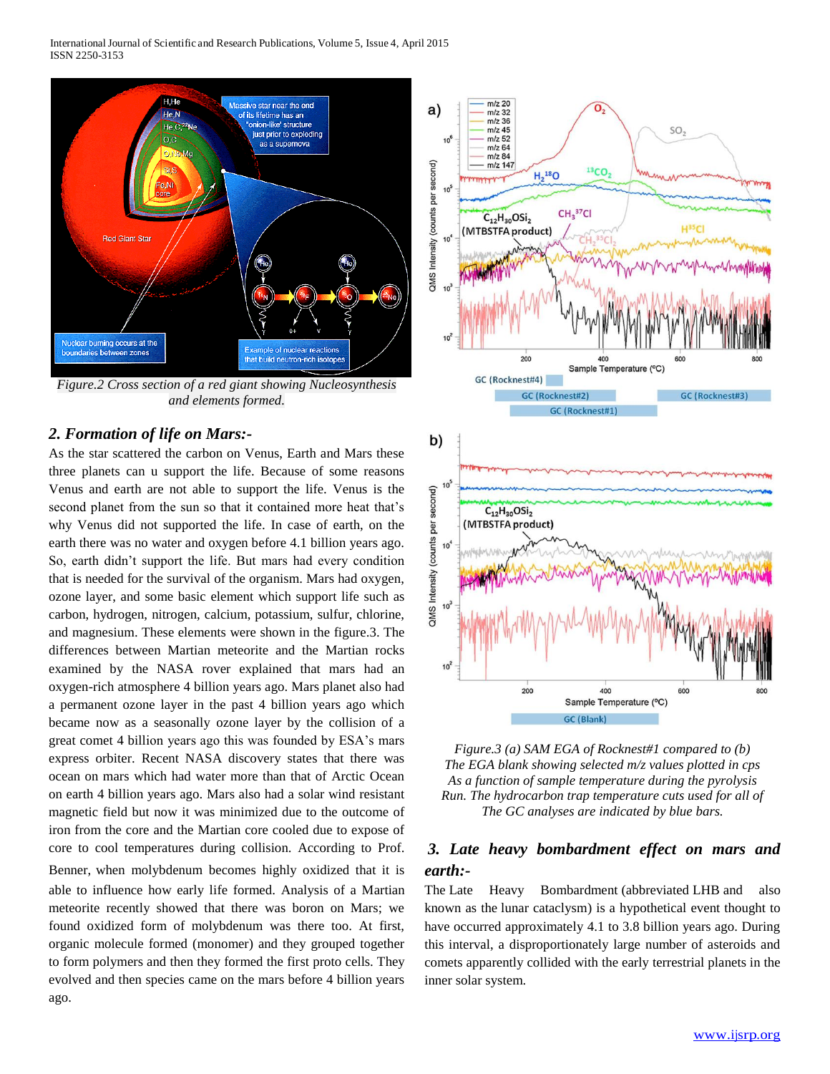International Journal of Scientific and Research Publications, Volume 5, Issue 4, April 2015 ISSN 2250-3153



*Figure.2 Cross section of a red giant showing Nucleosynthesis and elements formed.*

## *2. Formation of life on Mars:-*

As the star scattered the carbon on Venus, Earth and Mars these three planets can u support the life. Because of some reasons Venus and earth are not able to support the life. Venus is the second planet from the sun so that it contained more heat that's why Venus did not supported the life. In case of earth, on the earth there was no water and oxygen before 4.1 billion years ago. So, earth didn't support the life. But mars had every condition that is needed for the survival of the organism. Mars had oxygen, ozone layer, and some basic element which support life such as carbon, hydrogen, nitrogen, calcium, potassium, sulfur, chlorine, and magnesium. These elements were shown in the figure.3. The differences between Martian meteorite and the Martian rocks examined by the NASA rover explained that mars had an oxygen-rich atmosphere 4 billion years ago. Mars planet also had a permanent ozone layer in the past 4 billion years ago which became now as a seasonally ozone layer by the collision of a great comet 4 billion years ago this was founded by ESA's mars express orbiter. Recent NASA discovery states that there was ocean on mars which had water more than that of Arctic Ocean on earth 4 billion years ago. Mars also had a solar wind resistant magnetic field but now it was minimized due to the outcome of iron from the core and the Martian core cooled due to expose of core to cool temperatures during collision. According to Prof. Benner, when molybdenum becomes highly oxidized that it is able to influence how early life formed. Analysis of a Martian meteorite recently showed that there was boron on Mars; we found oxidized form of molybdenum was there too. At first, organic molecule formed (monomer) and they grouped together to form polymers and then they formed the first proto cells. They evolved and then species came on the mars before 4 billion years ago.



*Figure.3 (a) SAM EGA of Rocknest#1 compared to (b) The EGA blank showing selected m/z values plotted in cps As a function of sample temperature during the pyrolysis Run. The hydrocarbon trap temperature cuts used for all of The GC analyses are indicated by blue bars.*

# *3. Late heavy bombardment effect on mars and earth:-*

The Late Heavy Bombardment (abbreviated LHB and also known as the lunar cataclysm) is a hypothetical event thought to have occurred approximately 4.1 to 3.8 billion years ago. During this interval, a disproportionately large number of asteroids and comets apparently collided with the early terrestrial planets in the inner solar system.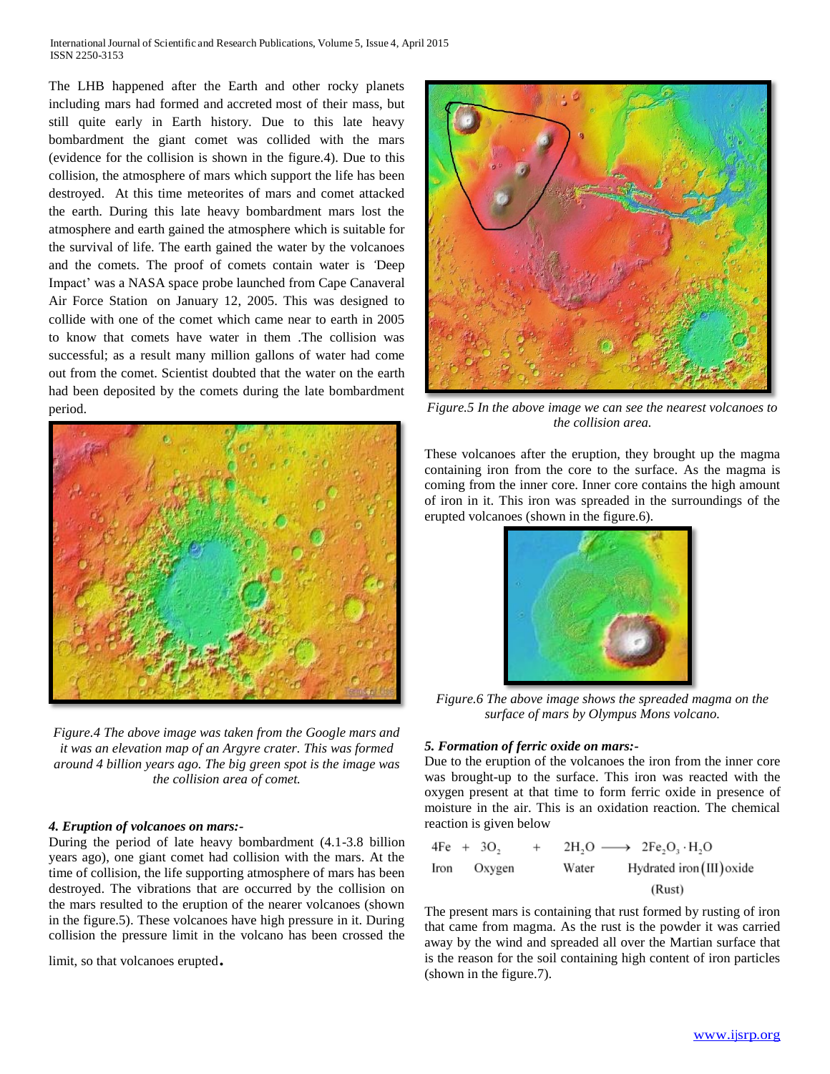International Journal of Scientific and Research Publications, Volume 5, Issue 4, April 2015 ISSN 2250-3153

The LHB happened after the Earth and other rocky planets including mars had formed and accreted most of their mass, but still quite early in Earth history. Due to this late heavy bombardment the giant comet was collided with the mars (evidence for the collision is shown in the figure.4). Due to this collision, the atmosphere of mars which support the life has been destroyed. At this time meteorites of mars and comet attacked the earth. During this late heavy bombardment mars lost the atmosphere and earth gained the atmosphere which is suitable for the survival of life. The earth gained the water by the volcanoes and the comets. The proof of comets contain water is *'*Deep Impact' was a NASA space probe launched from Cape Canaveral Air Force Station on January 12, 2005. This was designed to collide with one of the comet which came near to earth in 2005 to know that comets have water in them .The collision was successful; as a result many million gallons of water had come out from the comet. Scientist doubted that the water on the earth had been deposited by the comets during the late bombardment period.



*Figure.4 The above image was taken from the Google mars and it was an elevation map of an Argyre crater. This was formed around 4 billion years ago. The big green spot is the image was the collision area of comet.*

#### *4. Eruption of volcanoes on mars:-*

During the period of late heavy bombardment (4.1-3.8 billion years ago), one giant comet had collision with the mars. At the time of collision, the life supporting atmosphere of mars has been destroyed. The vibrations that are occurred by the collision on the mars resulted to the eruption of the nearer volcanoes (shown in the figure.5). These volcanoes have high pressure in it. During collision the pressure limit in the volcano has been crossed the

limit, so that volcanoes erupted.



*Figure.5 In the above image we can see the nearest volcanoes to the collision area.*

These volcanoes after the eruption, they brought up the magma containing iron from the core to the surface. As the magma is coming from the inner core. Inner core contains the high amount of iron in it. This iron was spreaded in the surroundings of the erupted volcanoes (shown in the figure.6).



*Figure.6 The above image shows the spreaded magma on the surface of mars by Olympus Mons volcano.*

#### *5. Formation of ferric oxide on mars:-*

Due to the eruption of the volcanoes the iron from the inner core was brought-up to the surface. This iron was reacted with the oxygen present at that time to form ferric oxide in presence of moisture in the air. This is an oxidation reaction. The chemical reaction is given below

\n
$$
4Fe + 3O_2 + 2H_2O \longrightarrow 2Fe_2O_3 \cdot H_2O
$$
\n

\n\n Iron Oxygen Water Hydroated iron (III) oxide (Rust)\n

The present mars is containing that rust formed by rusting of iron that came from magma. As the rust is the powder it was carried away by the wind and spreaded all over the Martian surface that is the reason for the soil containing high content of iron particles (shown in the figure.7).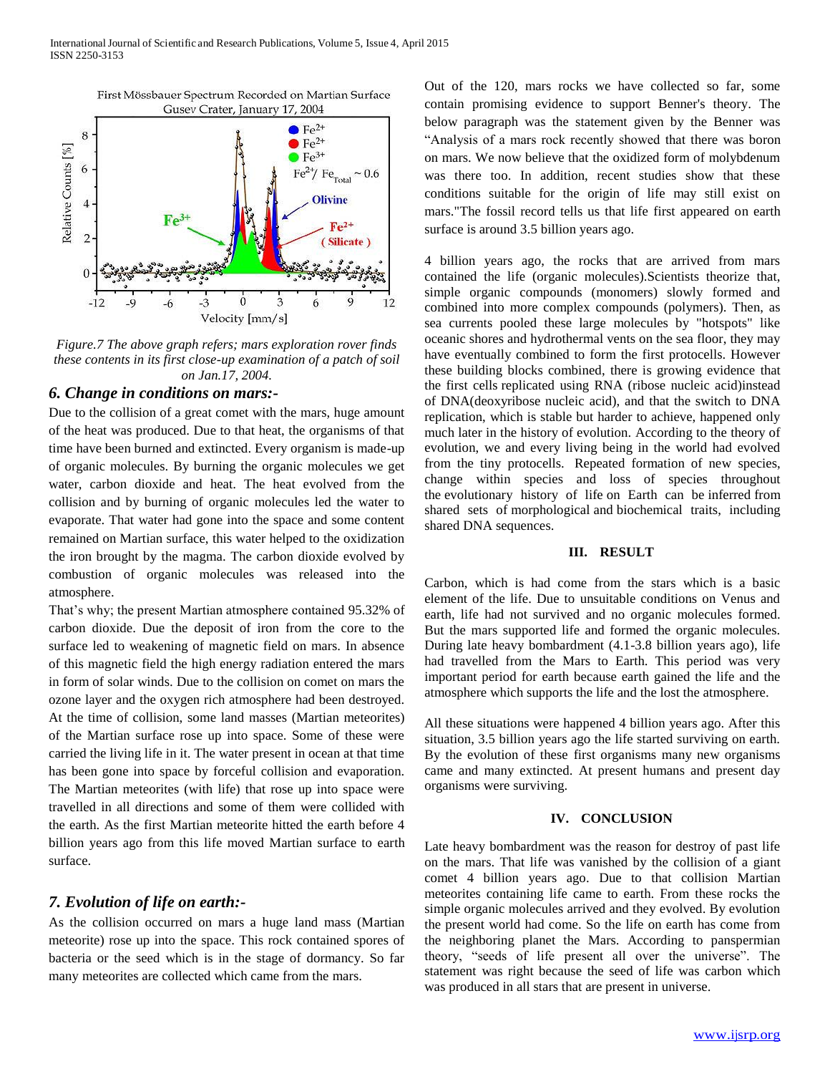

*Figure.7 The above graph refers; mars exploration rover finds these contents in its first close-up examination of a patch of soil on Jan.17, 2004.*

## *6. Change in conditions on mars:-*

Due to the collision of a great comet with the mars, huge amount of the heat was produced. Due to that heat, the organisms of that time have been burned and extincted. Every organism is made-up of organic molecules. By burning the organic molecules we get water, carbon dioxide and heat. The heat evolved from the collision and by burning of organic molecules led the water to evaporate. That water had gone into the space and some content remained on Martian surface, this water helped to the oxidization the iron brought by the magma. The carbon dioxide evolved by combustion of organic molecules was released into the atmosphere.

That's why; the present Martian atmosphere contained 95.32% of carbon dioxide. Due the deposit of iron from the core to the surface led to weakening of magnetic field on mars. In absence of this magnetic field the high energy radiation entered the mars in form of solar winds. Due to the collision on comet on mars the ozone layer and the oxygen rich atmosphere had been destroyed. At the time of collision, some land masses (Martian meteorites) of the Martian surface rose up into space. Some of these were carried the living life in it. The water present in ocean at that time has been gone into space by forceful collision and evaporation. The Martian meteorites (with life) that rose up into space were travelled in all directions and some of them were collided with the earth. As the first Martian meteorite hitted the earth before 4 billion years ago from this life moved Martian surface to earth surface.

## *7. Evolution of life on earth:-*

As the collision occurred on mars a huge land mass (Martian meteorite) rose up into the space. This rock contained spores of bacteria or the seed which is in the stage of dormancy. So far many meteorites are collected which came from the mars.

Out of the 120, mars rocks we have collected so far, some contain promising evidence to support Benner's theory. The below paragraph was the statement given by the Benner was "Analysis of a mars rock recently showed that there was boron on mars. We now believe that the oxidized form of molybdenum was there too. In addition, recent studies show that these conditions suitable for the origin of life may still exist on mars."The fossil record tells us that life first appeared on earth surface is around 3.5 billion years ago.

4 billion years ago, the rocks that are arrived from mars contained the life (organic molecules).Scientists theorize that, simple organic compounds (monomers) slowly formed and combined into more complex compounds (polymers). Then, as sea currents pooled these large molecules by "hotspots" like oceanic shores and hydrothermal vents on the sea floor, they may have eventually combined to form the first protocells. However these building blocks combined, there is growing evidence that the first cells replicated using RNA (ribose nucleic acid)instead of DNA(deoxyribose nucleic acid), and that the switch to DNA replication, which is stable but harder to achieve, happened only much later in the history of evolution. According to the theory of evolution, we and every living being in the world had evolved from the tiny protocells. Repeated formation of new species, change within species and loss of species throughout the evolutionary history of life on Earth can be inferred from shared sets of morphological and biochemical traits, including shared DNA sequences.

## **III. RESULT**

Carbon, which is had come from the stars which is a basic element of the life. Due to unsuitable conditions on Venus and earth, life had not survived and no organic molecules formed. But the mars supported life and formed the organic molecules. During late heavy bombardment (4.1-3.8 billion years ago), life had travelled from the Mars to Earth. This period was very important period for earth because earth gained the life and the atmosphere which supports the life and the lost the atmosphere.

All these situations were happened 4 billion years ago. After this situation, 3.5 billion years ago the life started surviving on earth. By the evolution of these first organisms many new organisms came and many extincted. At present humans and present day organisms were surviving.

## **IV. CONCLUSION**

Late heavy bombardment was the reason for destroy of past life on the mars. That life was vanished by the collision of a giant comet 4 billion years ago. Due to that collision Martian meteorites containing life came to earth. From these rocks the simple organic molecules arrived and they evolved. By evolution the present world had come. So the life on earth has come from the neighboring planet the Mars. According to panspermian theory, "seeds of life present all over the universe". The statement was right because the seed of life was carbon which was produced in all stars that are present in universe.